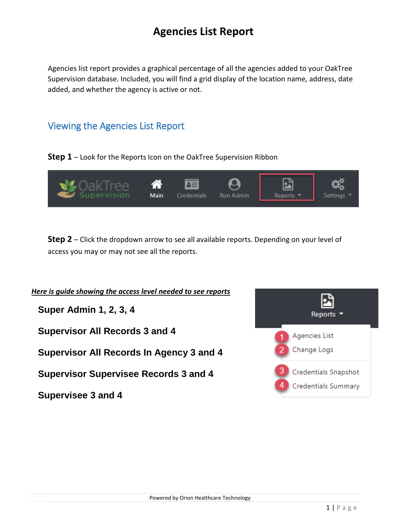## **Agencies List Report**

Agencies list report provides a graphical percentage of all the agencies added to your OakTree Supervision database. Included, you will find a grid display of the location name, address, date added, and whether the agency is active or not.

## Viewing the Agencies List Report

**Step 1** – Look for the Reports Icon on the OakTree Supervision Ribbon



**Step 2** – Click the dropdown arrow to see all available reports. Depending on your level of access you may or may not see all the reports.

*Here is guide showing the access level needed to see reports* **Super Admin 1, 2, 3, 4** Reports **Supervisor All Records 3 and 4** Agencies List Change Logs **Supervisor All Records In Agency 3 and 4** Credentials Snapshot **Supervisor Supervisee Records 3 and 4 Credentials Summary Supervisee 3 and 4**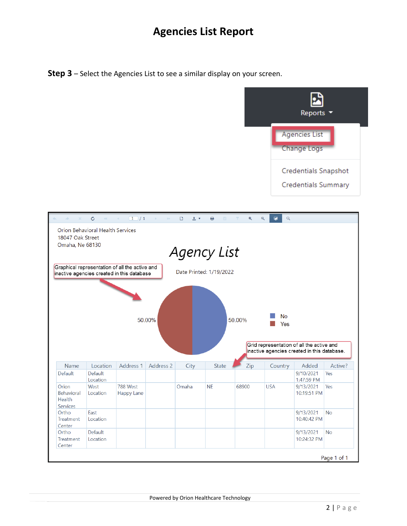## **Agencies List Report**

**Step 3** – Select the Agencies List to see a similar display on your screen.